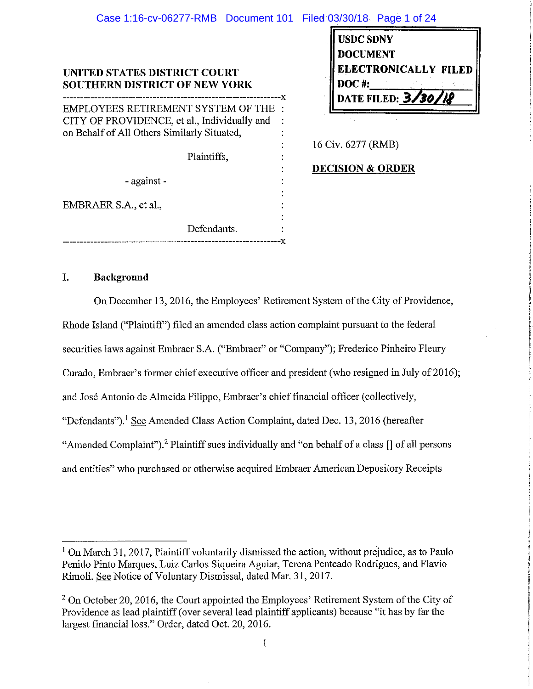## **UNITED STATES DISTRICT COURT SOUTHERN DISTRICT OF NEW YORK**  --------------------------------------x

EMPLOYEES RETIREMENT SYSTEM OF THE CITY OF PROVIDENCE, et al., Individually and on Behalf of All Others Similarly Situated,

Plaintiffs,

- against -

EMBRAER S.A., et al.,

Defendants. ---·-----------------------------------x

| <b>USDC SDNY</b>     |  |
|----------------------|--|
| <b>DOCUMENT</b>      |  |
| ELECTRONICALLY FILED |  |
| <b>DOC#:</b>         |  |
| DATE FILED: 3/30/18  |  |
|                      |  |

16 Civ. 6277 (RMB)

**DECISION & ORDER** 

# **I. Background**

On December 13, 2016, the Employees' Retirement System of the City of Providence, Rhode Island ("Plaintiff') filed an amended class action complaint pursuant to the federal securities laws against Embraer S.A. ("Embraer" or "Company"); Frederico Pinheiro Fleury Curado, Embraer's former chief executive officer and president (who resigned in July of 2016); and Jose Antonio de Almeida Filippo, Embraer's chief financial officer (collectively, "Defendants"). 1 See Amended Class Action Complaint, dated Dec. 13, 2016 (hereafter "Amended Complaint").<sup>2</sup> Plaintiff sues individually and "on behalf of a class [] of all persons and entities" who purchased or otherwise acquired Embraer American Depository Receipts

<sup>&</sup>lt;sup>1</sup> On March 31, 2017, Plaintiff voluntarily dismissed the action, without prejudice, as to Paulo Penido Pinto Marques, Luiz Carlos Siqueira Aguiar, Terena Penteado Rodrigues, and Flavio Rimoli. See Notice of Voluntary Dismissal, dated Mar. 31, 2017.

<sup>&</sup>lt;sup>2</sup> On October 20, 2016, the Court appointed the Employees' Retirement System of the City of Providence as lead plaintiff ( over several lead plaintiff applicants) because "it has by far the largest financial loss." Order, dated Oct. 20, 2016.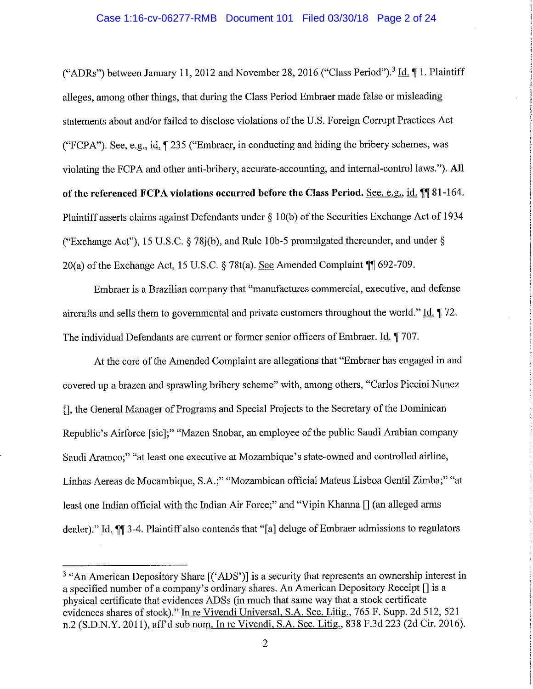#### Case 1:16-cv-06277-RMB Document 101 Filed 03/30/18 Page 2 of 24

("ADRs") between January 11, 2012 and November 28, 2016 ("Class Period").<sup>3</sup> Id. *[1. Plaintiff* alleges, among other things, that during the Class Period Embraer made false or misleading statements about and/or failed to disclose violations of the U.S. Foreign Corrupt Practices Act ("FCPA"). See, e.g., id. **1** 235 ("Embraer, in conducting and hiding the bribery schemes, was violating the FCPA and other anti-bribery, accurate-accounting, and internal-control laws."). **All**  of the referenced FCPA violations occurred before the Class Period. See, e.g., id. **1181-164.** Plaintiff asserts claims against Defendants under § 1 0(b) of the Securities Exchange Act of 1934 ("Exchange Act"), 15 U.S.C. § 78j(b ), and Rule **1** 0b-5 promulgated thereunder, and under § 20(a) of the Exchange Act, 15 U.S.C. § 78t(a). See Amended Complaint **||** 692-709.

Embraer is a Brazilian company that "manufactures commercial, executive, and defense aircrafts and sells them to governmental and private customers throughout the world." Id.  $\parallel$  72. The individual Defendants are current or former senior officers of Embraer. Id. **1**707.

At the core of the Amended Complaint are allegations that "Embraer has engaged in and covered up a brazen and sprawling bribery scheme" with, among others, "Carlos Piccini Nunez [], the General Manager of Programs and Special Projects to the Secretary of the Dominican Republic's Airforce [sic];" "Mazen Snobar, an employee of the public Saudi Arabian company Saudi Aramco;" "at least one executive at Mozambique's state-owned and controlled airline, Linhas Aereas de Mocambique, S.A.;" "Mozambican official Mateus Lisboa Gentil Zimba;" "at least one Indian official with the Indian Air Force;" and "Vipin Khanna  $\prod$  (an alleged arms dealer)." Id. **M** 3-4. Plaintiff also contends that "[a] deluge of Embraer admissions to regulators

<sup>&</sup>lt;sup>3</sup> "An American Depository Share [('ADS')] is a security that represents an ownership interest in a specified number of a company's ordinary shares. An American Depository Receipt[] is a physical certificate that evidences ADSs (in much that same way that a stock certificate evidences shares of stock)." In re Vivendi Universal, S.A. Sec. Litig., 765 F. Supp. 2d 512, 521 n.2 (S.D.N.Y. 2011), aff'd sub nom. In re Vivendi, S.A. Sec. Litig., 838 F.3d 223 (2d Cir. 2016).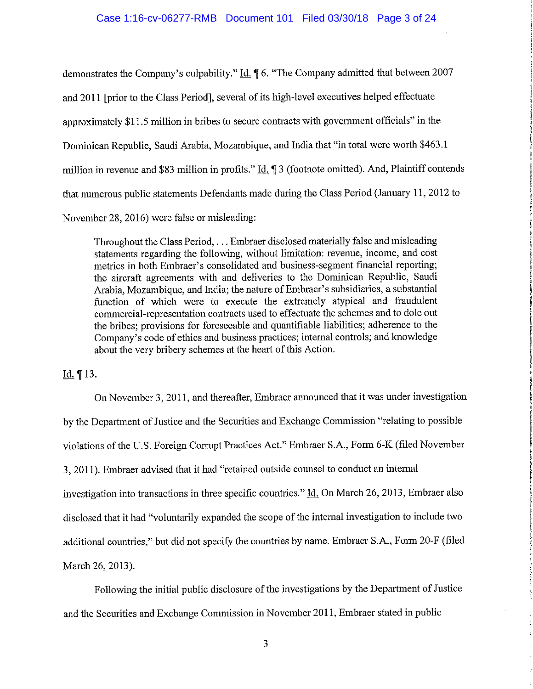demonstrates the Company's culpability." Id.  $\parallel$  6. "The Company admitted that between 2007 and 2011 [prior to the Class Period], several of its high-level executives helped effectuate approximately \$11.5 million in bribes to secure contracts with government officials" in the Dominican Republic, Saudi Arabia, Mozambique, and India that "in total were worth \$463 .1 million in revenue and \$83 million in profits." Id. 1 3 (footnote omitted). And, Plaintiff contends that numerous public statements Defendants made during the Class Period (January 11, 2012 to November 28, 2016) were false or misleading:

Throughout the Class Period, ... Embraer disclosed materially false and misleading statements regarding the following, without limitation: revenue, income, and cost metrics in both Embraer's consolidated and business-segment financial reporting; the aircraft agreements with and deliveries to the Dominican Republic, Saudi Arabia, Mozambique, and India; the nature of Embraer's subsidiaries, a substantial function of which were to execute the extremely atypical and fraudulent commercial-representation contracts used to effectuate the schemes and to dole out the bribes; provisions for foreseeable and quantifiable liabilities; adherence to the Company's code of ethics and business practices; internal controls; and knowledge about the very bribery schemes at the heart of this Action.

Id.  $\P$  13.

On November 3, 2011, and thereafter, Embraer announced that it was under investigation by the Department of Justice and the Securities and Exchange Commission "relating to possible violations of the U.S. Foreign Corrupt Practices Act." Embraer S.A., Form 6-K (filed November 3, 2011 ). Embraer advised that it had "retained outside counsel to conduct an internal investigation into transactions in three specific countries." Id. On March 26, 2013, Embraer also disclosed that it had "voluntarily expanded the scope of the internal investigation to include two additional countries," but did not specify the countries by name. Embraer S.A., Form 20-F (filed March 26, 2013).

Following the initial public disclosure of the investigations by the Department of Justice and the Securities and Exchange Commission in November 2011, Embraer stated in public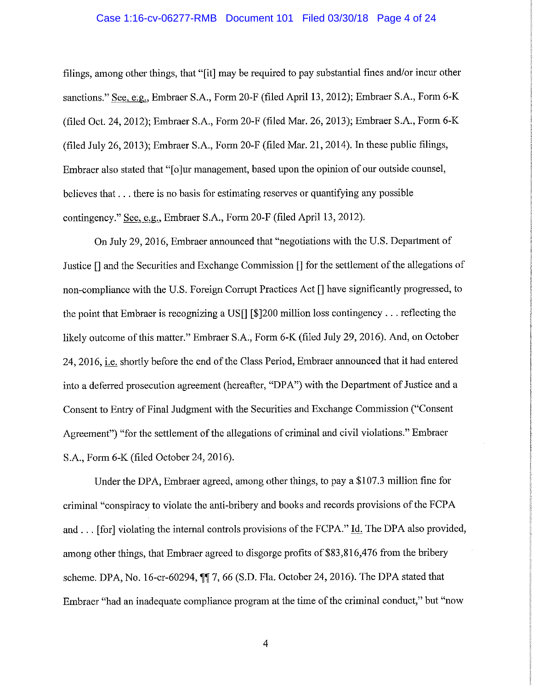#### Case 1:16-cv-06277-RMB Document 101 Filed 03/30/18 Page 4 of 24

filings, among other things, that "[it] may be required to pay substantial fines and/or incur other sanctions." See, e:g., Embraer S.A., Form 20-F (filed April 13, 2012); Embraer S.A., Form 6-K (filed Oct. 24, 2012); Embraer S.A., Form 20-F (filed Mar. 26, 2013); Embraer S.A., Form 6-K (filed July 26, 2013); Embraer S.A., Form 20-F (filed Mar. 21, 2014). In these public filings, Embraer also stated that "[o]ur management, based upon the opinion of our outside counsel, believes that ... there is no basis for estimating reserves or quantifying any possible contingency." See, e.g., Embraer S.A., Form 20-F (filed April 13, 2012).

On July 29, 2016, Embraer announced that "negotiations with the U.S. Department of Justice [] and the Securities and Exchange Commission[] for the settlement of the allegations of non-compliance with the U.S. Foreign Corrupt Practices Act [] have significantly progressed, to the point that Embraer is recognizing a US[] [\$]200 million loss contingency ... reflecting the likely outcome of this matter." Embraer S.A., Form 6-K (filed July 29, 2016). And, on October 24, 2016, i.e. shortly before the end of the Class Period, Embraer announced that it had entered into a deferred prosecution agreement (hereafter, "DPA") with the Department of Justice and a Consent to Entry of Final Judgment with the Securities and Exchange Commission ("Consent Agreement") "for the settlement of the allegations of criminal and civil violations." Embraer S.A., Form 6-K (filed October 24, 2016).

Under the DPA, Embraer agreed, among other things, to pay a \$107.3 million fine for criminal "conspiracy to violate the anti-bribery and books and records provisions of the FCPA and ... [for] violating the internal controls provisions of the FCPA." Id. The DPA also provided, among other things, that Embraer agreed to disgorge profits of \$83,816,476 from the bribery scheme. DPA, No. 16-cr-60294, **117,** 66 (S.D. Fla. October 24, 2016). The DPA stated that Embraer "had an inadequate compliance program at the time of the criminal conduct," but "now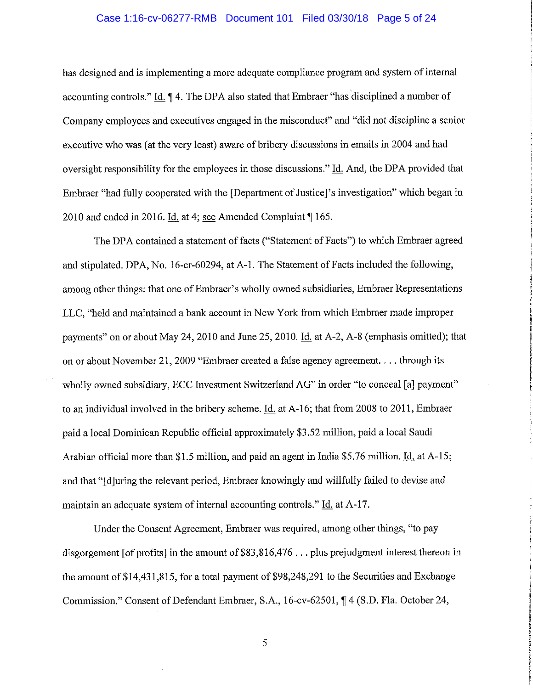#### Case 1:16-cv-06277-RMB Document 101 Filed 03/30/18 Page 5 of 24

has designed and is implementing a more adequate compliance program and system of internal accounting controls." Id. **14.** The DPA also stated that Embraer "has disciplined a number of Company employees and executives engaged in the misconduct" and "did not discipline a senior executive who was (at the very least) aware of bribery discussions in emails in 2004 and had oversight responsibility for the employees in those discussions." Id. And, the DPA provided that Embraer "had fully cooperated with the [Department of Justice]'s investigation" which began in 2010 and ended in 2016. Id. at 4; see Amended Complaint **165.** 

The DPA contained a statement of facts ("Statement of Facts") to which Embraer agreed and stipulated. DPA, No. 16-cr-60294, at A-1. The Statement of Facts included the following, among other things: that one of Embraer's wholly owned subsidiaries, Embraer Representations LLC, "held and maintained a bank account in New York from which Embraer made improper payments" on or about May 24, 2010 and June 25, 2010. Id. at A-2, A-8 (emphasis omitted); that on or about November 21, 2009 "Embraer created a false agency agreement. ... through its wholly owned subsidiary, ECC Investment Switzerland AG" in order "to conceal [a] payment" to an individual involved in the bribery scheme. Id. at A-16; that from 2008 to 2011, Embraer paid a local Dominican Republic official approximately \$3 .52 million, paid a local Saudi Arabian official more than \$1.5 million, and paid an agent in India \$5. 76 million. Id. at A-15; and that"[ d]uring the relevant period, Embraer knowingly and willfully failed to devise and maintain an adequate system of internal accounting controls." Id. at A-17.

Under the Consent Agreement, Embraer was required, among other things, "to pay disgorgement [of profits] in the amount of  $$83,816,476...$  plus prejudgment interest thereon in the amount of \$14,431,815, for a total payment of \$98,248,291 to the Securities and Exchange Commission." Consent of Defendant Embraer, S.A., 16-cv-62501, ¶ 4 (S.D. Fla. October 24,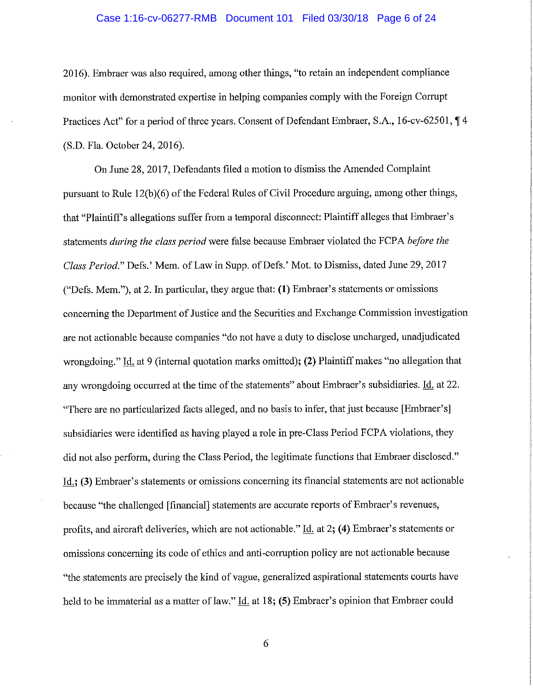### Case 1:16-cv-06277-RMB Document 101 Filed 03/30/18 Page 6 of 24

2016). Embraer was also required, among other things, "to retain an independent compliance monitor with demonstrated expertise in helping companies comply with the Foreign Corrupt Practices Act" for a period of three years. Consent of Defendant Embraer, S.A., 16-cv-62501, 14 (S.D. Fla. October 24, 2016).

On June 28, 2017, Defendants filed a motion to dismiss the Amended Complaint pursuant to Rule 12(b)(6) of the Federal Rules of Civil Procedure arguing, among other things, that "Plaintiff's allegations suffer from a temporal disconnect: Plaintiff alleges that Embraer's statements *during the class period* were false because Embraer violated the FCPA *before the Class Period.*" Defs.' Mem. of Law in Supp. of Defs.' Mot. to Dismiss, dated June 29, 2017 ("Defs. Mem. "), at 2. In particular, they argue that: **(1)** Embraer' s statements or omissions concerning the Department of Justice and the Securities and Exchange Commission investigation are not actionable because companies "do not have a duty to disclose uncharged, unadjudicated wrongdoing." Id. at 9 (internal quotation marks omitted); **(2)** Plaintiff makes "no allegation that any wrongdoing occurred at the time of the statements" about Embraer's subsidiaries. Id. at 22. "There are no particularized facts alleged, and no basis to infer, that just because [Embraer's] subsidiaries were identified as having played a role in pre-Class Period FCPA violations, they did not also perform, during the Class Period, the legitimate functions that Embraer disclosed." Id.; **(3)** Embraer's statements or omissions concerning its financial statements are not actionable because "the challenged [financial] statements are accurate reports of Embraer's revenues, profits, and aircraft deliveries, which are not actionable." Id. at 2; **(4)** Embraer's statements or omissions concerning its code of ethics and anti-corruption policy are not actionable because "the statements are precisely the kind of vague, generalized aspirational statements courts have held to be immaterial as a matter of law." Id. at 18; (5) Embraer's opinion that Embraer could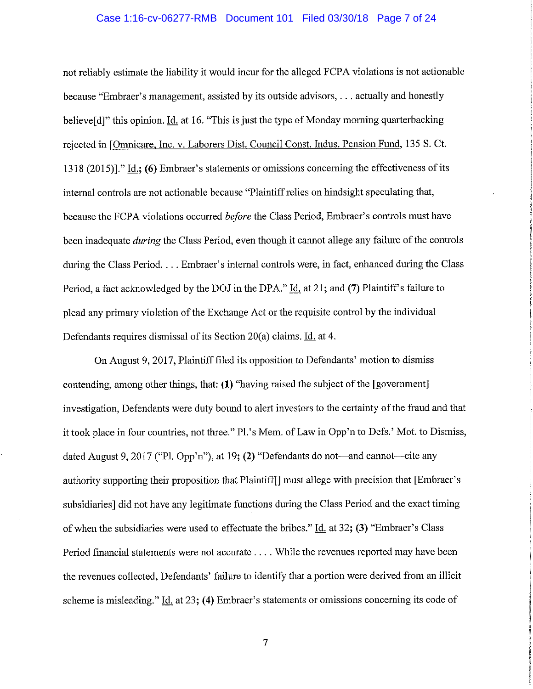#### Case 1:16-cv-06277-RMB Document 101 Filed 03/30/18 Page 7 of 24

not reliably estimate the liability it would incur for the alleged FCPA violations is not actionable because "Embraer's management, assisted by its outside advisors, ... actually and honestly believe[d]" this opinion. Id. at 16. "This is just the type of Monday morning quarterbacking rejected in [Omnicare, Inc. v. Laborers Dist. Council Const. Indus. Pension Fund, 135 S. Ct. 1318 (2015)]." Id.; **(6)** Embraer's statements or omissions concerning the effectiveness of its internal controls are not actionable because "Plaintiff relies on hindsight speculating that, because the FCPA violations occurred *before* the Class Period, Embraer's controls must have been inadequate *during* the Class Period, even though it cannot allege any failure of the controls during the Class Period. . . . Embraer's internal controls were, in fact, enhanced during the Class Period, a fact acknowledged by the DOJ in the DPA." Id. at 21; and (7) Plaintiff's failure to plead any primary violation of the Exchange Act or the requisite control by the individual Defendants requires dismissal of its Section 20(a) claims. Id. at 4.

On August 9, 2017, Plaintiff filed its opposition to Defendants' motion to dismiss contending, among other things, that: **(1)** "having raised the subject of the [government] investigation, Defendants were duty bound to alert investors to the certainty of the fraud and that it took place in four countries, not three." Pl.'s Mem. of Law in Opp'n to Defs.' Mot. to Dismiss, dated August 9, 2017 ("Pl. Opp'n"), at 19; **(2)** "Defendants do not—and cannot—cite any authority supporting their proposition that Plaintiff[] must allege with precision that [Embraer's subsidiaries] did not have any legitimate functions during the Class Period and the exact timing of when the subsidiaries were used to effectuate the bribes." Id. at 32; **(3)** "Embraer's Class Period financial statements were not accurate .... While the revenues reported may have been the revenues collected, Defendants' failure to identify that a portion were derived from an illicit scheme is misleading." Id. at 23; **(4)** Embraer's statements or omissions concerning its code of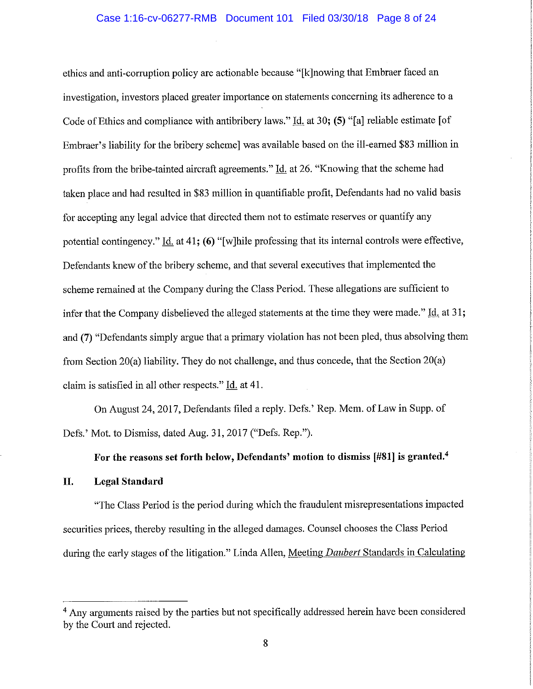ethics and anti-corruption policy are actionable because "[k]nowing that Embraer faced an investigation, investors placed greater importance on statements concerning its adherence to a Code of Ethics and compliance with antibribery laws." Id. at 30; **(S)** "[a] reliable estimate [of Embraer's liability for the bribery scheme] was available based on the ill-earned \$83 million in profits from the bribe-tainted aircraft agreements." Id. at 26. "Knowing that the scheme had taken place and had resulted in \$83 million in quantifiable profit, Defendants had no valid basis for accepting any legal advice that directed them not to estimate reserves or quantify any potential contingency." Id. at 41; **(6)** "[w]hile professing that its internal controls were effective, Defendants knew of the bribery scheme, and that several executives that implemented the scheme remained at the Company during the Class Period. These allegations are sufficient to infer that the Company disbelieved the alleged statements at the time they were made." Id. at 31; and **(7)** "Defendants simply argue that a primary violation has not been pied, thus absolving them from Section 20(a) liability. They do not challenge, and thus concede, that the Section 20(a) claim is satisfied in all other respects." Id. at 41.

On August 24, 2017, Defendants filed a reply. Defs.' Rep. Mem. of Law in Supp. of Defs.' Mot. to Dismiss, dated Aug. 31, 2017 ("Defs. Rep.").

# **For the reasons set forth below, Defendants' motion to dismiss [#81] is granted.<sup>4</sup>**

### **II. Legal Standard**

"The Class Period is the period during which the fraudulent misrepresentations impacted securities prices, thereby resulting in the alleged damages. Counsel chooses the Class Period during the early stages of the litigation." Linda Allen, Meeting *Daubert* Standards in Calculating

<sup>&</sup>lt;sup>4</sup> Any arguments raised by the parties but not specifically addressed herein have been considered by the Court and rejected.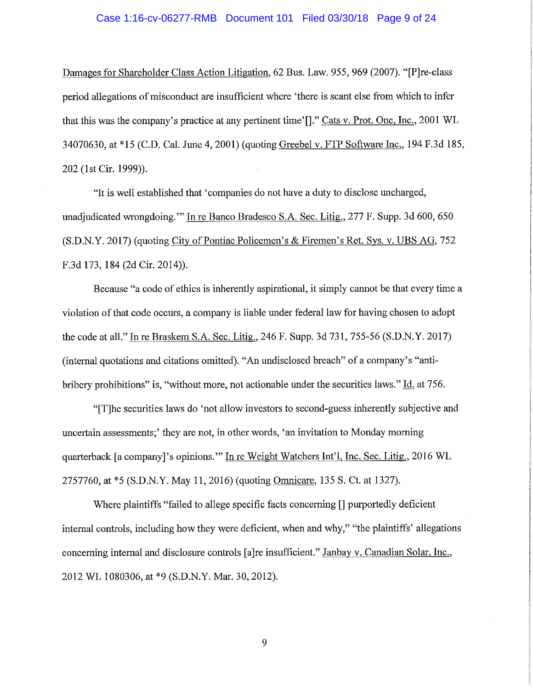#### Case 1:16-cv-06277-RMB Document 101 Filed 03/30/18 Page 9 of 24

Damages for Shareholder Class Action Litigation, 62 Bus. Law. 955, 969 (2007). "[P]re-class period allegations of misconduct are insufficient where 'there is scant else from which to infer that this was the company's practice at any pertinent time'[]." Cats v. Prot. One, Inc., 2001 WL 34070630, at \*15 (C.D. Cal. June 4, 2001) (quoting Greebel v. FTP Software Inc., 194 F.3d 185, 202 (1st Cir. 1999)).

"It is well established that 'companies do not have a duty to disclose uncharged, unadjudicated wrongdoing."" In re Banco Bradesco S.A. Sec. Litig., 277 F. Supp. 3d 600, 650 (S.D.N.Y. 2017) (quoting City of Pontiac Policemen's & Firemen's Ret. Sys. v. UBS AG, 752 F.3d 173, 184 (2d Cir. 2014)).

Because "a code of ethics is inherently aspirational, it simply cannot be that every time a violation of that code occurs, a company is liable under federal law for having chosen to adopt the code at all." In re Braskem S.A. Sec. Litig., 246 F. Supp. 3d 731, 755-56 (S.D.N.Y. 2017) (internal quotations and citations omitted). "An undisclosed breach" of a company's "antibribery prohibitions" is, "without more, not actionable under the securities laws." Id. at 756.

"[T]he securities laws do 'not allow investors to second-guess inherently subjective and uncertain assessments;' they are not, in other words, 'an invitation to Monday morning quarterback [a company]'s opinions."" In re Weight Watchers Int'l, Inc. Sec. Litig., 2016 WL 2757760, at \*5 (S.D.N.Y. May 11, 2016) (quoting Omnicare, 135 S. Ct. at 1327).

Where plaintiffs "failed to allege specific facts concerning [] purportedly deficient internal controls, including how they were deficient, when and why," "the plaintiffs' allegations concerning internal and disclosure controls [a]re insufficient." Janbay v. Canadian Solar, Inc., 2012 WL 1080306, at \*9 (S.D.N.Y. Mar. 30, 2012).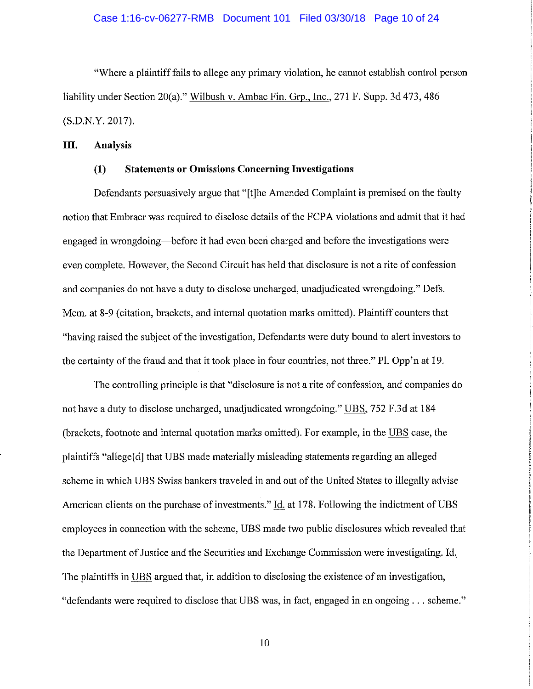#### Case 1:16-cv-06277-RMB Document 101 Filed 03/30/18 Page 10 of 24

"Where a plaintiff fails to allege any primary violation, he cannot establish control person liability under Section 20(a)." Wilbush v. Ambac Fin. Grp., Inc., 271 F. Supp. 3d 473, 486 (S.D.N.Y. 2017).

### **III. Analysis**

### **(1) Statements or Omissions Concerning Investigations**

Defendants persuasively argue that "[t]he Amended Complaint is premised on the faulty notion that Embraer was required to disclose details of the FCPA violations and admit that it had engaged in wrongdoing—before it had even been charged and before the investigations were even complete. However, the Second Circuit has held that disclosure is not a rite of confession and companies do not have a duty to disclose uncharged, unadjudicated wrongdoing." Defs. Mem. at 8-9 ( citation, brackets, and internal quotation marks omitted). Plaintiff counters that "having raised the subject of the investigation, Defendants were duty bound to alert investors to the certainty of the fraud and that it took place in four countries, not three." Pl. Opp'n at 19.

The controlling principle is that "disclosure is not a rite of confession, and companies do not have a duty to disclose uncharged, unadjudicated wrongdoing." UBS, 752 F.3d at 184 (brackets, footnote and internal quotation marks omitted). For example, in the UBS case, the plaintiffs "allege[ d] that UBS made materially misleading statements regarding an alleged scheme in which UBS Swiss bankers traveled in and out of the United States to illegally advise American clients on the purchase of investments." Id. at 178. Following the indictment of UBS employees in connection with the scheme, UBS made two public disclosures which revealed that the Department of Justice and the Securities and Exchange Commission were investigating. Id. The plaintiffs in UBS argued that, in addition to disclosing the existence of an investigation, "defendants were required to disclose that UBS was, in fact, engaged in an ongoing ... scheme."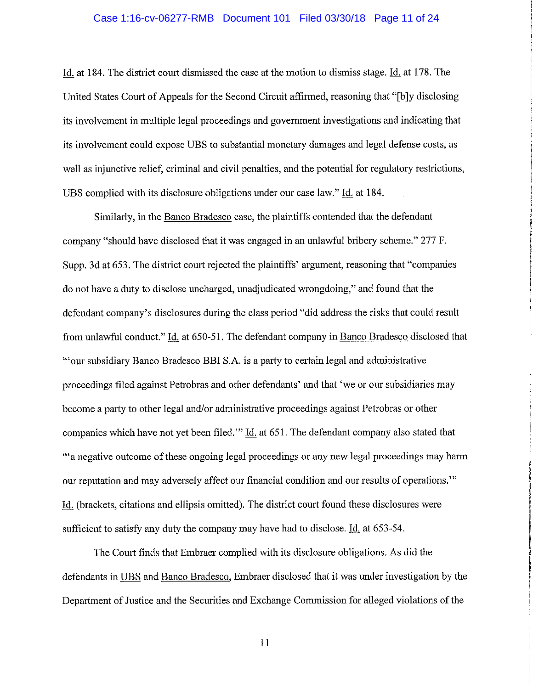#### Case 1:16-cv-06277-RMB Document 101 Filed 03/30/18 Page 11 of 24

Id. at 184. The district court dismissed the case at the motion to dismiss stage. Id. at 178. The United States Court of Appeals for the Second Circuit affirmed, reasoning that "[b ]y disclosing its involvement in multiple legal proceedings and govermnent investigations and indicating that its involvement could expose UBS to substantial monetary damages and legal defense costs, as well as injunctive relief, criminal and civil penalties, and the potential for regulatory restrictions, UBS complied with its disclosure obligations under our case law." Id. at 184.

Similarly, in the Banco Bradesco case, the plaintiffs contended that the defendant company "should have disclosed that it was engaged in an unlawful bribery scheme." 277 F. Supp. 3d at 653. The district court rejected the plaintiffs' argument, reasoning that "companies do not have a duty to disclose uncharged, unadjudicated wrongdoing," and found that the defendant company's disclosures during the class period "did address the risks that could result from unlawful conduct." Id. at 650-51. The defendant company in Banco Bradesco disclosed that "'our subsidiary Banco Bradesco BBI S.A. is a party to certain legal and administrative proceedings filed against Petrobras and other defendants' and that 'we or our subsidiaries may become a party to other legal and/or administrative proceedings against Petrobras or other companies which have not yet been filed." Id. at 651. The defendant company also stated that '"a negative outcome of these ongoing legal proceedings or any new legal proceedings may harm our reputation and may adversely affect our financial condition and our results of operations."' Id. (brackets, citations and ellipsis omitted). The district court found these disclosures were sufficient to satisfy any duty the company may have had to disclose. Id. at 653-54.

The Court finds that Embraer complied with its disclosure obligations. As did the defendants in UBS and Banco Bradesco, Embraer disclosed that it was under investigation by the Department of Justice and the Securities and Exchange Commission for alleged violations of the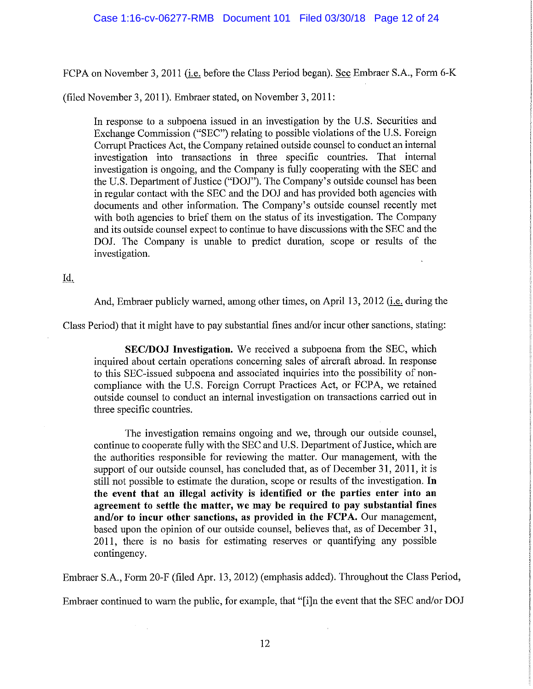FCPA on November 3, 2011 (i.e. before the Class Period began). See Embraer S.A., Form 6-K

(filed November 3, 2011). Embraer stated, on November 3, 2011:

In response to a subpoena issued in an investigation by the U.S. Securities and Exchange Commission ("SEC") relating to possible violations of the U.S. Foreign Corrupt Practices Act, the Company retained outside counsel to conduct an internal investigation into transactions in three specific countries. That internal investigation is ongoing, and the Company is fully cooperating with the SEC and the U.S. Department of Justice ("DOJ"). The Company's outside counsel has been in regular contact with the SEC and the DOJ and has provided both agencies with documents and other information. The Company's outside counsel recently met with both agencies to brief them on the status of its investigation. The Company and its outside counsel expect to continue to have discussions with the SEC and the DOJ. The Company is unable to predict duration, scope or results of the investigation.

# Id.

And, Embraer publicly warned, among other times, on April 13, 2012 (*i.e.* during the

Class Period) that it might have to pay substantial fines and/or incur other sanctions, stating:

**SEC/DOJ Investigation.** We received a subpoena from the SEC, which inquired about certain operations concerning sales of aircraft abroad. In response to this SEC-issued subpoena and associated inquiries into the possibility of noncompliance with the U.S. Foreign Corrupt Practices Act, or FCPA, we retained outside counsel to conduct an internal investigation on transactions carried out in three specific countries.

The investigation remains ongoing and we, through our outside counsel, continue to cooperate fully with the SEC and U.S. Department of Justice, which are the authorities responsible for reviewing the matter. Our management, with the support of our outside counsel, has concluded that, as of December 31, 2011, it is still not possible to estimate the duration, scope or results of the investigation. In **the event that an illegal activity is identified or the parties enter into an agreement to settle the matter, we may be required to pay substantial fines**  and/or to incur other sanctions, as provided in the FCPA. Our management, based upon the opinion of our outside counsel, believes that, as of December 31, 2011, there is no basis for estimating reserves or quantifying any possible contingency.

Embraer S.A., Form 20-F (filed Apr. 13, 2012) (emphasis added). Throughout the Class Period,

Embraer continued to warn the public, for example, that "[i]n the event that the SEC and/or DOJ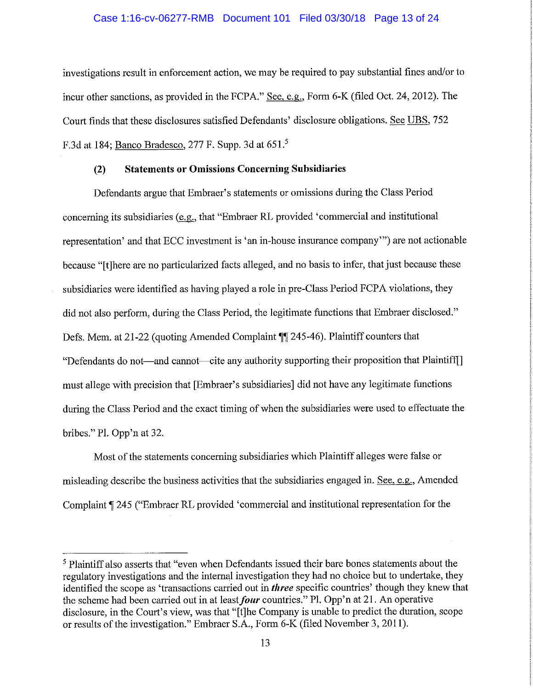#### Case 1:16-cv-06277-RMB Document 101 Filed 03/30/18 Page 13 of 24

investigations result in enforcement action, we may be required to pay substantial fines and/or to incur other sanctions, as provided in the FCPA." See, e.g., Form 6-K (filed Oct. 24, 2012). The Court finds that these disclosures satisfied Defendants' disclosure obligations. See UBS, 752 F.3d at 184; Banco Bradesco, 277 F. Supp. 3d at 651.<sup>5</sup>

#### **(2) Statements or Omissions Concerning Subsidiaries**

Defendants argue that Embraer's statements or omissions during the Class Period concerning its subsidiaries (e.g., that "Embraer RL provided 'commercial and institutional representation' and that ECC investment is 'an in-house insurance company"') are not actionable because "[t]here are no particularized facts alleged, and no basis to infer, that just because these subsidiaries were identified as having played a role in pre-Class Period FCPA violations, they did not also perform, during the Class Period, the legitimate functions that Embraer disclosed." Defs. Mem. at 21-22 (quoting Amended Complaint **||** 245-46). Plaintiff counters that "Defendants do not—and cannot—cite any authority supporting their proposition that Plaintiff[] must allege with precision that [Embraer's subsidiaries] did not have any legitimate functions during the Class Period and the exact timing of when the subsidiaries were used to effectuate the bribes." PL Opp'n at 32.

Most of the statements concerning subsidiaries which Plaintiff alleges were false or misleading describe the business activities that the subsidiaries engaged in. See, e.g., Amended Complaint **1245** ("Embraer RL provided 'commercial and institutional representation for the

<sup>&</sup>lt;sup>5</sup> Plaintiff also asserts that "even when Defendants issued their bare bones statements about the regulatory investigations and the internal investigation they had no choice but to undertake, they identified the scope as 'transactions carried out in *three* specific countries' though they knew that the scheme had been carried out in at least *four* countries." Pl. Opp'n at 21. An operative disclosure, in the Court's view, was that "[t]he Company is unable to predict the duration, scope or results of the investigation." Embraer S.A., Form 6-K (filed November 3, 2011).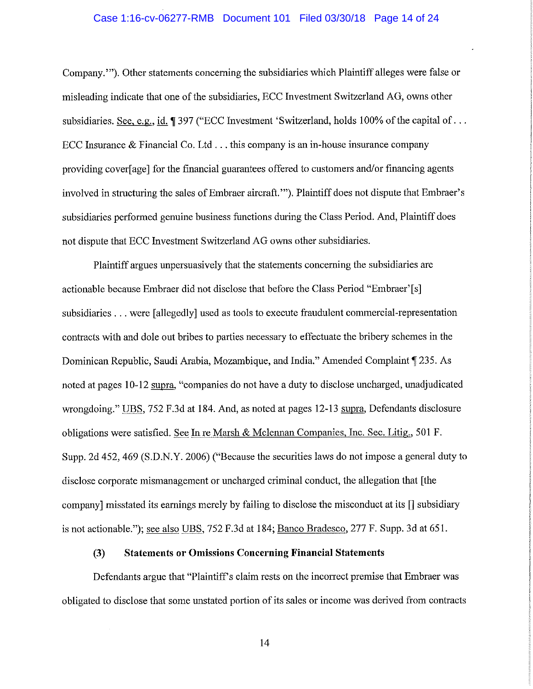#### Case 1:16-cv-06277-RMB Document 101 Filed 03/30/18 Page 14 of 24

Company.'"). Other statements concerning the subsidiaries which Plaintiff alleges were false or misleading indicate that one of the subsidiaries, ECC Investment Switzerland AG, owns other subsidiaries. See, e.g., id. **1**397 ("ECC Investment 'Switzerland, holds 100% of the capital of ... ECC Insurance & Financial Co. Ltd ... this company is an in-house insurance company providing cover[ age] for the financial guarantees offered to customers and/or financing agents involved in structuring the sales of Embraer aircraft.""). Plaintiff does not dispute that Embraer's subsidiaries performed genuine business functions during the Class Period. And, Plaintiff does not dispute that ECC Investment Switzerland AG owns other subsidiaries.

Plaintiff argues unpersuasively that the statements concerning the subsidiaries are actionable because Embraer did not disclose that before the Class Period "Embraer'[s] subsidiaries ... were [allegedly] used as tools to execute fraudulent commercial-representation contracts with and dole out bribes to parties necessary to effectuate the bribery schemes in the Dominican Republic, Saudi Arabia, Mozambique, and India." Amended Complaint **1** 235. As noted at pages 10-12 supra, "companies do not have a duty to disclose uncharged, unadjudicated wrongdoing." UBS, 752 F.3d at 184. And, as noted at pages 12-13 supra, Defendants disclosure obligations were satisfied. See Inre Marsh & Mclennan Companies, Inc. Sec. Litig., 501 F. Supp. 2d 452, 469 (S.D.N.Y. 2006) ("Because the securities laws do not impose a general duty to disclose corporate mismanagement or uncharged criminal conduct, the allegation that [the company] misstated its earnings merely by failing to disclose the misconduct at its [] subsidiary is not actionable."); see also UBS, 752 F.3d at 184; Banco Bradesco, 277 F. Supp. 3d at 651.

# **(3) Statements or Omissions Concerning Financial Statements**

Defendants argue that "Plaintiff's claim rests on the incorrect premise that Embraer was obligated to disclose that some unstated portion of its sales or income was derived from contracts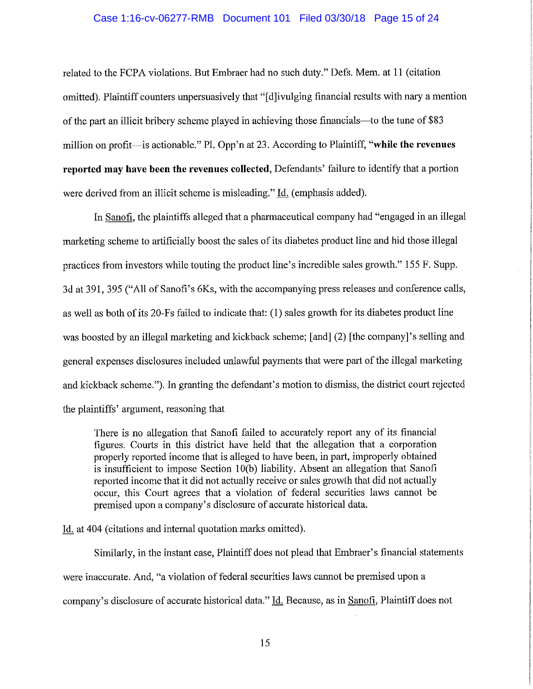#### Case 1:16-cv-06277-RMB Document 101 Filed 03/30/18 Page 15 of 24

related to the FCPA violations. But Embraer had no such duty." Defs. Mem. at 11 (citation omitted). Plaintiff counters unpersuasively that "[d]ivulging financial results with nary a mention of the part an illicit bribery scheme played in achieving those financials--to the tune of \$83 million on profit-is actionable." Pl. Opp 'n at 23. According to Plaintiff, **"while the revenues reported may have been the revenues collected,** Defendants' failure to identify that a portion were derived from an illicit scheme is misleading." Id. (emphasis added).

In Sanofi, the plaintiffs alleged that a pharmaceutical company had "engaged in an illegal marketing scheme to artificially boost the sales of its diabetes product line and hid those illegal practices from investors while touting the product line's incredible sales growth." 155 F. Supp. 3d at 391, 395 ("All of Sanofi's 6Ks, with the accompanying press releases and conference calls, as well as both of its 20-Fs failed to indicate that: (1) sales growth for its diabetes product line was boosted by an illegal marketing and kickback scheme; [and] (2) [the company]'s selling and general expenses disclosures included unlawful payments that were part of the illegal marketing and kickback scheme."). In granting the defendant's motion to dismiss, the district court rejected the plaintiffs' argument, reasoning that

There is no allegation that Sanofi failed to accurately report any of its financial figures. Courts in this district have held that the allegation that a corporation properly reported income that is alleged to have been, in part, improperly obtained is insufficient to impose Section 10(b) liability. Absent an allegation that Sanofi reported income that it did not actually receive or sales growth that did not actually occur, this Court agrees that a violation of federal securities laws cannot be premised upon a company's disclosure of accurate historical data.

Id. at 404 ( citations and internal quotation marks omitted).

Similarly, in the instant case, Plaintiff does not plead that Embraer's financial statements were inaccurate. And, "a violation of federal securities laws cannot be premised upon a company's disclosure of accurate historical data." Id. Because, as in Sanofi, Plaintiff does not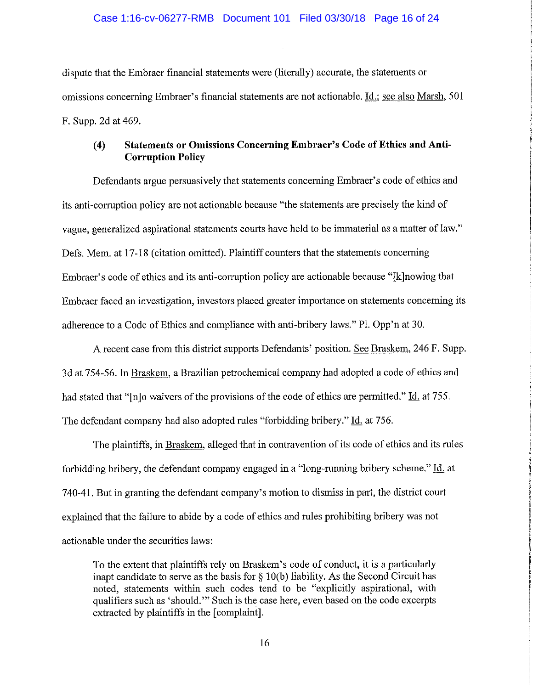dispute that the Embraer financial statements were (literally) accurate, the statements or omissions concerning Embraer's financial statements are not actionable. Id.; see also Marsh, 501 F. Supp. 2d at 469.

# **(4) Statements or Omissions Concerning Embraer's Code of Ethics and Anti-Corruption Policy**

Defendants argue persuasively that statements concerning Embraer's code of ethics and its anti-corruption policy are not actionable because "the statements are precisely the kind of vague, generalized aspirational statements courts have held to be immaterial as a matter of law." Defs. Mem. at 17-18 (citation omitted). Plaintiff counters that the statements concerning Embraer's code of ethics and its anti-corruption policy are actionable because "[k]nowing that Embraer faced an investigation, investors placed greater importance on statements concerning its adherence to a Code of Ethics and compliance with anti-bribery laws." PL Opp'n at 30.

A recent case from this district supports Defendants' position. See Braskem, 246 F. Supp. 3d at 754-56. In Braskem, a Brazilian petrochemical company had adopted a code of ethics and had stated that "[n]o waivers of the provisions of the code of ethics are permitted." Id. at 755. The defendant company had also adopted rules "forbidding bribery." Id. at 756.

The plaintiffs, in Braskem, alleged that in contravention of its code of ethics and its rules forbidding bribery, the defendant company engaged in a "long-running bribery scheme." Id. at 740-41. But in granting the defendant company's motion to dismiss in part, the district court explained that the failure to abide by a code of ethics and rules prohibiting bribery was not actionable under the securities laws:

To the extent that plaintiffs rely on Braskem's code of conduct, it is a particularly inapt candidate to serve as the basis for  $\S$  10(b) liability. As the Second Circuit has noted, statements within such codes tend to be "explicitly aspirational, with qualifiers such as 'should.'" Such is the case here, even based on the code excerpts extracted by plaintiffs in the [complaint].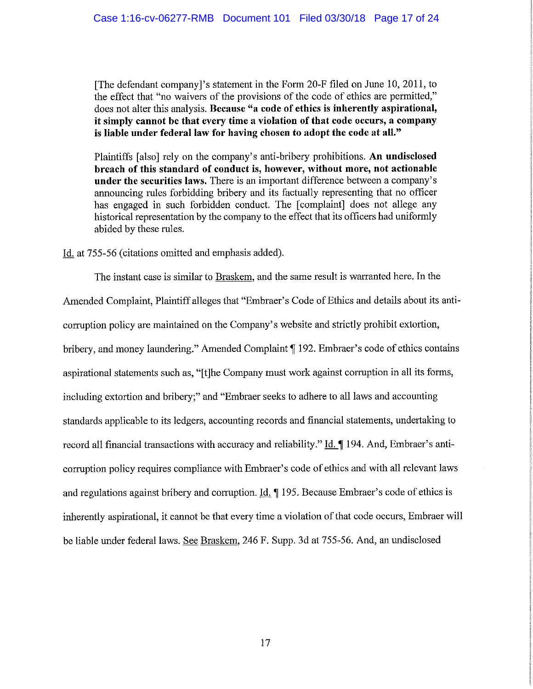[The defendant company J's statement in the Form 20-F filed on June 10, 2011, to the effect that "no waivers of the provisions of the code of ethics are permitted," does not alter this analysis. **Because "a code of ethics is inherently aspirational, it simply cannot be that every time a violation of that code occurs, a company is liable under federal law for having chosen to adopt the code at all."** 

Plaintiffs [also] rely on the company's anti-bribery prohibitions. **An undisclosed breach of this standard of conduct is, however, without more, not actionable under the securities laws.** There is an important difference between a company's announcing rules forbidding bribery and its factually representing that no officer has engaged in such forbidden conduct. The [complaint] does not allege any historical representation by the company to the effect that its officers had uniformly abided by these rules.

Id. at 755-56 (citations omitted and emphasis added).

The instant case is similar to Braskem, and the same result is warranted here. In the Amended Complaint, Plaintiff alleges that "Embraer's Code of Ethics and details about its anticorruption policy are maintained on the Company's website and strictly prohibit extortion, bribery, and money laundering." Amended Complaint [192. Embraer's code of ethics contains aspirational statements such as, "[t]he Company must work against corruption in all its forms, including extortion and bribery;" and "Embraer seeks to adhere to all laws and accounting standards applicable to its ledgers, accounting records and financial statements, undertaking to record all financial transactions with accuracy and reliability." Id. 194. And, Embraer's anticorruption policy requires compliance with Embraer's code of ethics and with all relevant laws and regulations against bribery and corruption. Id. **[195. Because Embraer's code of ethics is** inherently aspirational, it cannot be that every time a violation of that code occurs, Embraer will be liable under federal laws. See Braskem, 246 F. Supp. 3d at 755-56. And, an undisclosed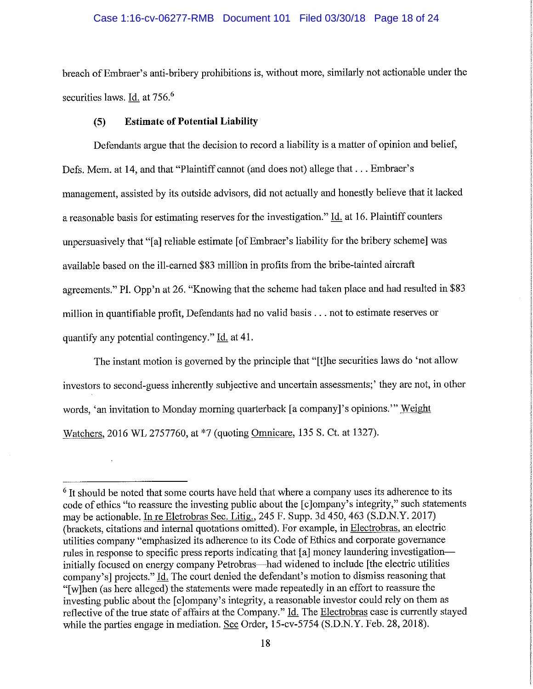### Case 1:16-cv-06277-RMB Document 101 Filed 03/30/18 Page 18 of 24

breach ofEmbraer's anti-bribery prohibitions is, without more, similarly not actionable under the securities laws. Id. at 756.<sup>6</sup>

### **(5) Estimate of Potential Liability**

Defendants argue that the decision to record a liability is a matter of opinion and belief, Defs. Mem. at 14, and that "Plaintiff cannot (and does not) allege that ... Embraer's management, assisted by its outside advisors, did not actually and honestly believe that it lacked a reasonable basis for estimating reserves for the investigation." Id. at 16. Plaintiff counters unpersuasively that "[a] reliable estimate [of Embraer's liability for the bribery scheme] was available based on the ill-earned \$83 millibn in profits from the bribe-tainted aircraft agreements." PL Opp'n at 26. "Knowing that the scheme had taken place and had resulted in \$83 million in quantifiable profit, Defendants had no valid basis ... not to estimate reserves or quantify any potential contingency." Id. at 41.

The instant motion is governed by the principle that "[t]he securities laws do 'not allow investors to second-guess inherently subjective and uncertain assessments;' they are not, in other words, 'an invitation to Monday morning quarterback [a company J's opinions."' Weight Watchers, 2016 WL 2757760, at \*7 (quoting Omnicare, 135 S. Ct. at 1327).

 $6$  It should be noted that some courts have held that where a company uses its adherence to its code of ethics "to reassure the investing public about the [c]ompany's integrity," such statements may be actionable. In re Eletrobras Sec. Litig., 245 F. Supp. 3d 450, 463 (S.D.N.Y. 2017) (brackets, citations and internal quotations omitted). For example, in Electrobras, an electric utilities company "emphasized its adherence to its Code of Ethics and corporate governance rules in response to specific press reports indicating that [a] money laundering investigationinitially focused on energy company Petrobras—had widened to include [the electric utilities company's] projects." Id. The court denied the defendant's motion to dismiss reasoning that "[w]hen (as here alleged) the statements were made repeatedly in an effort to reassure the investing public about the [c]ompany's integrity, a reasonable investor could rely on them as reflective of the trne state of affairs at the Company." Id. The Electrobras case is currently stayed while the parties engage in mediation. See Order, 15-cv-5754 (S.D.N.Y. Feb. 28, 2018).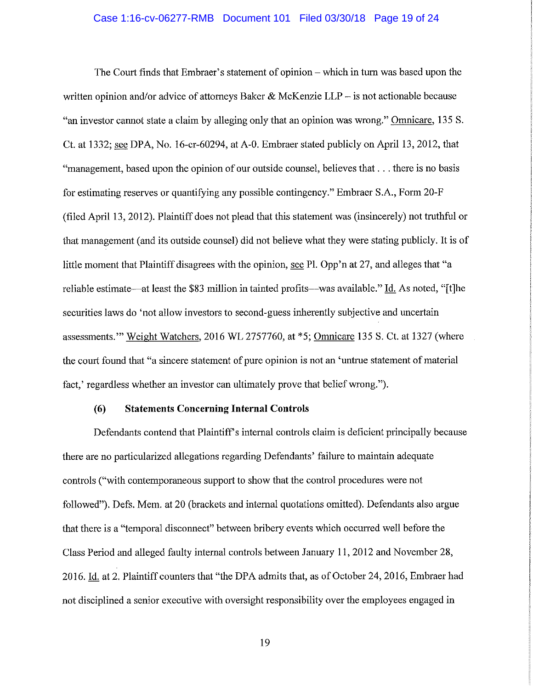#### Case 1:16-cv-06277-RMB Document 101 Filed 03/30/18 Page 19 of 24

The Court finds that Embraer's statement of opinion- which in turn was based upon the written opinion and/or advice of attorneys Baker & McKenzie LLP - is not actionable because "an investor cannot state a claim by alleging only that an opinion was wrong." Omnicare, 135 S. Ct. at 1332; see DPA, No. 16-cr-60294, at A-0. Embraer stated publicly on April 13, 2012, that "management, based upon the opinion of our outside counsel, believes that ... there is no basis for estimating reserves or quantifying any possible contingency." Embraer S.A., Form 20-F (filed April 13, 2012). Plaintiff does not plead that this statement was (insincerely) not truthful or that management (and its outside counsel) did not believe what they were stating publicly. It is of little moment that Plaintiff disagrees with the opinion, see Pl. Opp'n at 27, and alleges that "a reliable estimate—at least the \$83 million in tainted profits—was available." Id. As noted, "[t]he securities laws do 'not allow investors to second-guess inherently subjective and uncertain assessments."' Weight Watchers, 2016 WL 2757760, at \*5; Omnicare 135 S. Ct. at 1327 (where the court found that "a sincere statement of pure opinion is not an 'untrue statement of material fact,' regardless whether an investor can ultimately prove that belief wrong.").

### **(6) Statements Concerning Internal Controls**

Defendants contend that Plaintiff's internal controls claim is deficient principally because there are no particularized allegations regarding Defendants' failure to maintain adequate controls ("with contemporaneous support to show that the control procedures were not followed"). Defs. Mem. at 20 (brackets and internal quotations omitted). Defendants also argue that there is a "temporal disconnect" between bribery events which occurred well before the Class Period and alleged faulty internal controls between January 11, 2012 and November 28, 2016. Id. at 2. Plaintiff counters that "the DPA admits that, as of October 24, 2016, Embraer had not disciplined a senior executive with oversight responsibility over the employees engaged in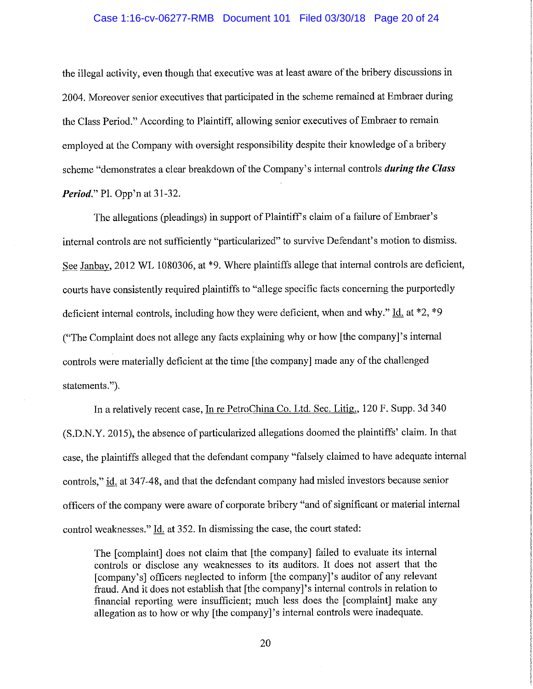#### Case 1:16-cv-06277-RMB Document 101 Filed 03/30/18 Page 20 of 24

the illegal activity, even though that executive was at least aware of the bribery discussions in 2004. Moreover senior executives that participated in the scheme remained at Embraer during the Class Period." According to Plaintiff, allowing senior executives of Embraer to remain employed at the Company with oversight responsibility despite their knowledge of a bribery scheme "demonstrates a clear breakdown of the Company's internal controls *during the Class Period."* Pl. Opp'n at 31-32.

The allegations (pleadings) in support of Plaintiff's claim of a failure of Embraer's internal controls are not sufficiently "particularized" to survive Defendant's motion to dismiss. See Janbay, 2012 WL 1080306, at \*9. Where plaintiffs allege that internal controls are deficient, courts have consistently required plaintiffs to "allege specific facts concerning the purportedly deficient internal controls, including how they were deficient, when and why." Id. at \*2, \*9 ("The Complaint does not allege any facts explaining why or how [the company]'s internal controls were materially deficient at the time [the company] made any of the challenged statements.").

In a relatively recent case, In re PetroChina Co. Ltd. Sec. Litig., 120 F. Supp. 3d 340 (S.D.N.Y. 2015), the absence of particularized allegations doomed the plaintiffs' claim. In that case, the plaintiffs alleged that the defendant company "falsely claimed to have adequate internal controls," id. at 347-48, and that the defendant company had misled investors because senior officers of the company were aware of corporate bribery "and of significant or material internal control weaknesses." Id. at 352. In dismissing the case, the court stated:

The [complaint] does not claim that [the company] failed to evaluate its internal controls or disclose any weaknesses to its auditors. It does not assert that the [company's] officers neglected to inform [the company]'s auditor of any relevant fraud. And it does not establish that [the company]'s internal controls in relation to financial reporting were insufficient; much less does the [ complaint] make any allegation as to how or why [the company]'s internal controls were inadequate.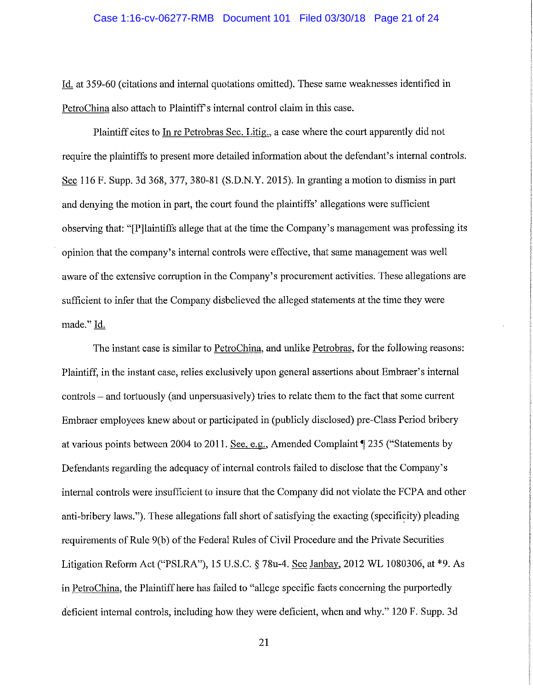#### Case 1:16-cv-06277-RMB Document 101 Filed 03/30/18 Page 21 of 24

Id. at 359-60 ( citations and internal quotations omitted). These same weaknesses identified in PetroChina also attach to Plaintiff's internal control claim in this case.

Plaintiff cites to In re Petrobras Sec. Litig., a case where the court apparently did not require the plaintiffs to present more detailed information about the defendant's internal controls. See 116 F. Supp. 3d 368,377, 380-81 (S.D.N.Y. 2015). In granting a motion to dismiss in part and denying the motion in part, the court found the plaintiffs' allegations were sufficient observing that: "[P]laintiffs allege that at the time the Company's management was professing its opinion that the company's internal controls were effective, that same management was well aware of the extensive corruption in the Company's procurement activities. These allegations are sufficient to infer that the Company disbelieved the alleged statements at the time they were made." Id.

The instant case is similar to PetroChina, and unlike Petrobras, for the following reasons: Plaintiff, in the instant case, relies exclusively upon general assertions about Embraer's internal controls - and tortuously (and unpersuasively) tries to relate them to the fact that some current Embraer employees knew about or participated in (publicly disclosed) pre-Class Period bribery at various points between 2004 to 2011. See, e.g., Amended Complaint  $\P$  235 ("Statements by Defendants regarding the adequacy of internal controls failed to disclose that the Company's internal controls were insufficient to insure that the Company did not violate the FCP A and other anti-bribery laws."). These allegations fall short of satisfying the exacting (specificity) pleading requirements of Rule 9(b) of the Federal Rules of Civil Procedure and the Private Securities Litigation Reform Act ("PSLRA"), 15 U.S.C. § 78u-4. See Janbay. 2012 WL 1080306, at \*9. As in PetroChina, the Plaintiff here has failed to "allege specific facts concerning the purportedly deficient internal controls, including how they were deficient, when and why." 120 F. Supp. 3d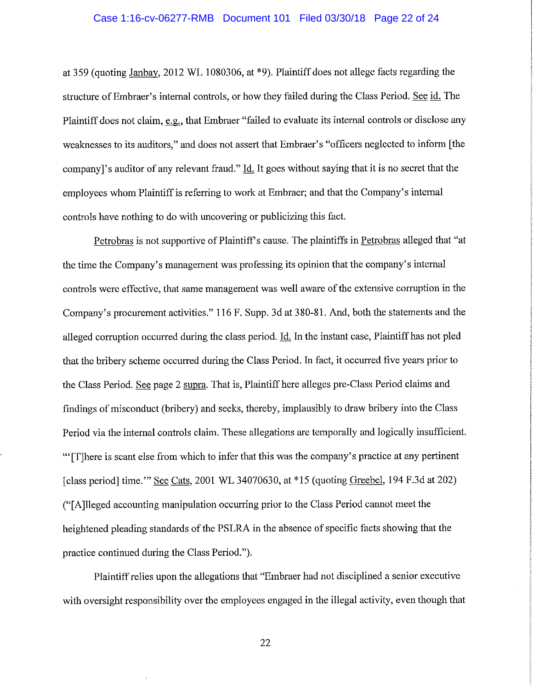#### Case 1:16-cv-06277-RMB Document 101 Filed 03/30/18 Page 22 of 24

at 359 (quoting Janbay, 2012 WL 1080306, at \*9). Plaintiff does not allege facts regarding the structure of Embraer's internal controls, or how they failed during the Class Period. See id. The Plaintiff does not claim, e.g., that Embraer "failed to evaluate its internal controls or disclose any weaknesses to its auditors," and does not assert that Embraer's "officers neglected to inform [the company *l*'s auditor of any relevant fraud." Id. It goes without saying that it is no secret that the employees whom Plaintiff is referring to work at Embraer; and that the Company's internal controls have nothing to do with uncovering or publicizing this fact.

Petrobras is not supportive of Plaintiff's cause. The plaintiffs in Petrobras alleged that "at the time the Company's management was professing its opinion that the company's internal controls were effective, that same management was well aware of the extensive corruption in the Company's procurement activities." 116 F. Supp. 3d at 380-81. And, both the statements and the alleged corruption occurred during the class period. Id. In the instant case, Plaintiff has not pled that the bribery scheme occurred during the Class Period. In fact, it occurred five years prior to the Class Period. See page 2 supra. That is, Plaintiff here alleges pre-Class Period claims and findings of misconduct (bribery) and seeks, thereby, implausibly to draw bribery into the Class Period via the internal controls claim. These allegations are temporally and logically insufficient. '" [T]here is scant else from which to infer that this was the company's practice at any pertinent [class period] time."' See Cats, 2001 WL 34070630, at \*15 (quoting Greebel, 194 F.3d at 202) ("[ A ]lleged accounting manipulation occurring prior to the Class Period cannot meet the heightened pleading standards of the PSLRA in the absence of specific facts showing that the practice continued during the Class Period.").

Plaintiff relies upon the allegations that "Embraer had not disciplined a senior executive with oversight responsibility over the employees engaged in the illegal activity, even though that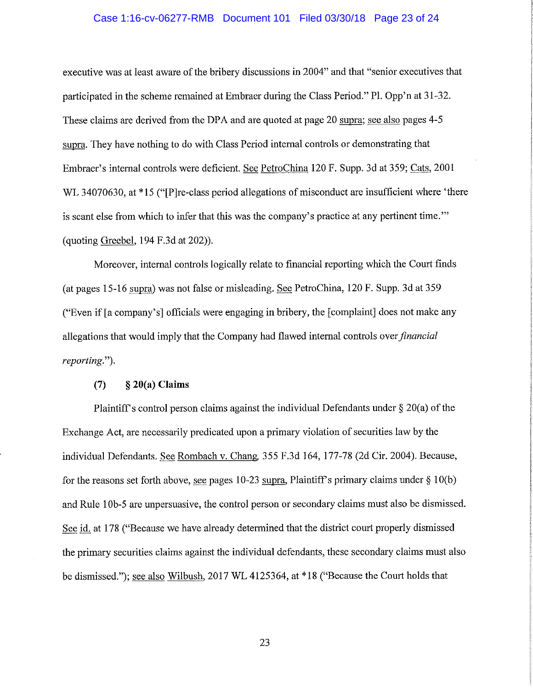#### Case 1:16-cv-06277-RMB Document 101 Filed 03/30/18 Page 23 of 24

executive was at least aware of the bribery discussions in 2004" and that "senior executives that participated in the scheme remained at Embraer during the Class Period." Pl. Opp'n at 31-32. These claims are derived from the DPA and are quoted at page 20 supra; see also pages 4-5 supra. They have nothing to do with Class Period internal controls or demonstrating that Embraer's internal controls were deficient. See PetroChina 120 F. Supp. 3d at 359; Cats, 2001 WL 34070630, at \*15 ("[P]re-class period allegations of misconduct are insufficient where 'there is scant else from which to infer that this was the company's practice at any pertinent time."' (quoting Greebel, 194 F.3d at 202)).

Moreover, internal controls logically relate to financial reporting which the Court finds (at pages 15-16 supra) was not false or misleading. See PetroChina, 120 F. Supp. 3d at 359 ("Even if [a company's] officials were engaging in bribery, the [complaint] does not make any allegations that would imply that the Company had flawed internal controls over *financial reporting.").* 

# (7) § **20(a) Claims**

Plaintiff's control person claims against the individual Defendants under  $\S 20(a)$  of the Exchange Act, me necessarily predicated upon a primary violation of securities law by the individual Defendants. See Rombach v. Chang, 355 F.3d 164, 177-78 (2d Cir. 2004). Because, for the reasons set forth above, see pages 10-23 supra, Plaintiff's primary claims under  $\S 10(b)$ and Rule 1 0b-5 are unpersuasive, the control person or secondary claims must also be dismissed. See id. at 178 ("Because we have already determined that the district court properly dismissed the primary securities claims against the individual defendants, these secondary claims must also be dismissed."); see also Wilbush, 2017 WL 4125364, at \*18 ("Because the Court holds that